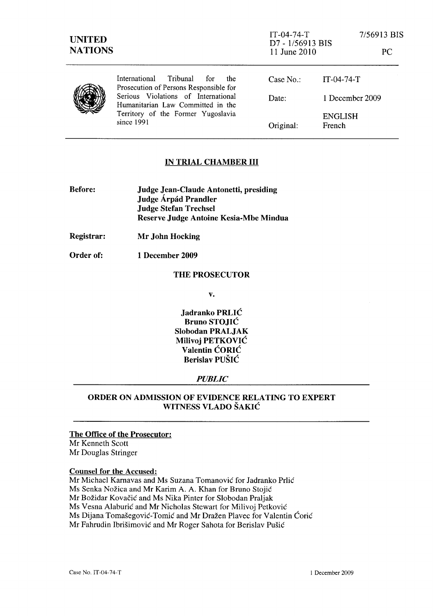| <b>UNITED</b><br><b>NATIONS</b> |                                                                                                                              | $IT-04-74-T$<br>D7 - 1/56913 BIS<br>11 June 2010 |                          | 7/56913 BIS<br>PC. |
|---------------------------------|------------------------------------------------------------------------------------------------------------------------------|--------------------------------------------------|--------------------------|--------------------|
|                                 | International Tribunal<br>for<br>the<br>Prosecution of Persons Responsible for                                               | Case $No.$ :                                     | $IT-04-74-T$             |                    |
|                                 | Serious Violations of International<br>Humanitarian Law Committed in the<br>Territory of the Former Yugoslavia<br>since 1991 | Date:                                            | 1 December 2009          |                    |
|                                 |                                                                                                                              | Original:                                        | <b>ENGLISH</b><br>French |                    |

### IN TRIAL CHAMBER **III**

| <b>Before:</b> | <b>Judge Jean-Claude Antonetti, presiding</b> |
|----------------|-----------------------------------------------|
|                | Judge Árpád Prandler                          |
|                | <b>Judge Stefan Trechsel</b>                  |
|                | Reserve Judge Antoine Kesia-Mbe Mindua        |

Registrar: Mr John Hocking

Order of: 1 December 2009

#### THE PROSECUTOR

v.

Jadranko PRLIC Bruno STOJIC Slobodan PRALJAK Milivoj PETKOVIC Valentin CORIC Berislav PUSIC

#### *PUBLIC*

## ORDER ON ADMISSION OF EVIDENCE RELATING TO EXPERT WITNESS VLADO SAKIC

#### The Office of the Prosecutor:

Mr Kenneth Scott Mr Douglas Stringer

#### Counsel for the Accused:

Mr Michael Karnavas and Ms Suzana Tomanović for Jadranko Prlić Ms Senka Nožica and Mr Karim A. A. Khan for Bruno Stojić Mr Božidar Kovačić and Ms Nika Pinter for Slobodan Praljak Ms Vesna Alaburić and Mr Nicholas Stewart for Milivoj Petković Ms Dijana Tomašegović-Tomić and Mr Dražen Plavec for Valentin Ćorić Mr Fahrudin Ibrišimović and Mr Roger Sahota for Berislav Pušić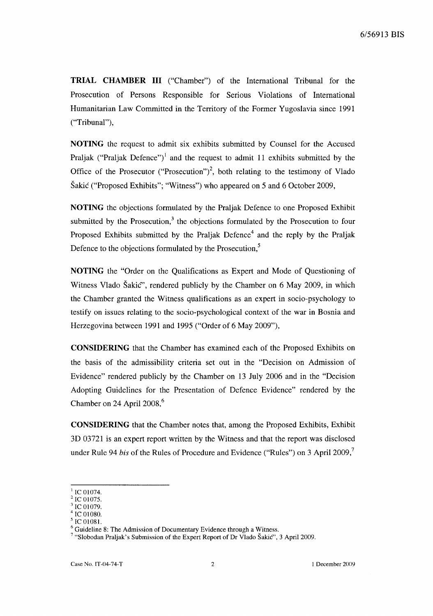**TRIAL CHAMBER III** ("Chamber") of the International Tribunal for the Prosecution of Persons Responsible for Serious Violations of International Humanitarian Law Committed in the Territory of the Former Yugoslavia since 1991 ("Tribunal"),

**NOTING** the request to admit six exhibits submitted by Counsel for the Accused Praljak ("Praljak Defence")<sup>1</sup> and the request to admit 11 exhibits submitted by the Office of the Prosecutor ("Prosecution")<sup>2</sup>, both relating to the testimony of Vlado Sakic ("Proposed Exhibits"; "Witness") who appeared on 5 and 6 October 2009,

**NOTING** the objections formulated by the Praljak Defence to one Proposed Exhibit submitted by the Prosecution, $3$  the objections formulated by the Prosecution to four Proposed Exhibits submitted by the Praljak Defence<sup>4</sup> and the reply by the Praljak Defence to the objections formulated by the Prosecution,<sup>5</sup>

**NOTING** the "Order on the Qualifications as Expert and Mode of Questioning of Witness Vlado Šakić", rendered publicly by the Chamber on 6 May 2009, in which the Chamber granted the Witness qualifications as an expert in socio-psychology to testify on issues relating to the socio-psychological context of the war in Bosnia and Herzegovina between 1991 and 1995 ("Order of 6 May 2009"),

**CONSIDERING** that the Chamber has examined each of the Proposed Exhibits on the basis of the admissibility criteria set out in the "Decision on Admission of Evidence" rendered publicly by the Chamber on 13 July 2006 and in the "Decision Adopting Guidelines for the Presentation of Defence Evidence" rendered by the Chamber on 24 April 2008, $<sup>6</sup>$ </sup>

**CONSIDERING** that the Chamber notes that, among the Proposed Exhibits, Exhibit 3D 03721 is an expert report written by the Witness and that the report was disclosed under Rule 94 *bis* of the Rules of Procedure and Evidence ("Rules") on 3 April 2009,<sup>7</sup>

IC 01074.

IC 01075.

IC 01079.

IC 01080.

IC 01081.

<sup>6</sup> Guideline 8: The Admission of Documentary Evidence through a Witness.

<sup>&</sup>lt;sup>7</sup> "Slobodan Praljak's Submission of the Expert Report of Dr Vlado Šakić", 3 April 2009.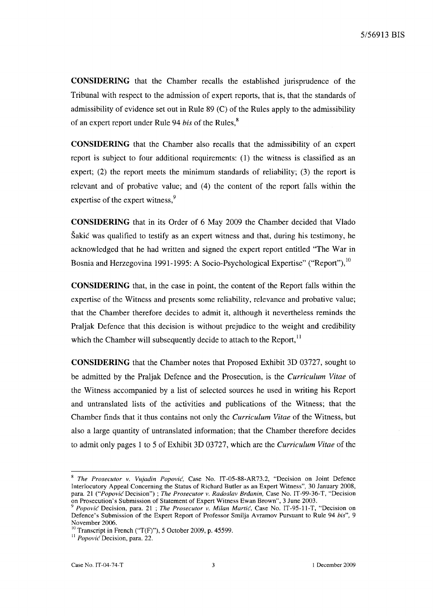**CONSIDERING** that the Chamber recalls the established jurisprudence of the Tribunal with respect to the admission of expert reports, that is, that the standards of admissibility of evidence set out in Rule 89 (C) of the Rules apply to the admissibility of an expert report under Rule 94 *his* of the Rules, <sup>8</sup>

**CONSIDERING** that the Chamber also recalls that the admissibility of an expert report is subject to four additional requirements: (1) the witness is classified as an expert; (2) the report meets the minimum standards of reliability; (3) the report is relevant and of probative value; and (4) the content of the report falls within the expertise of the expert witness,<sup>9</sup>

**CONSIDERING** that in its Order of 6 May 2009 the Chamber decided that Vlado Sakic was qualified to testify as an expert witness and that, during his testimony, he acknowledged that he had written and signed the expert report entitled "The War in Bosnia and Herzegovina 1991-1995: A Socio-Psychological Expertise" ("Report"), <sup>10</sup>

**CONSIDERING** that, in the case in point, the content of the Report falls within the expertise of the Witness and presents some reliability, relevance and probative value; that the Chamber therefore decides to admit it, although it nevertheless reminds the Praljak Defence that this decision is without prejudice to the weight and credibility which the Chamber will subsequently decide to attach to the Report, $<sup>11</sup>$ </sup>

**CONSIDERING** that the Chamber notes that Proposed Exhibit 3D 03727, sought to be admitted by the Praljak Defence and the Prosecution, is the *Curriculum Vitae* of the Witness accompanied by a list of selected sources he used in writing his Report and untranslated lists of the activities and publications of the Witness; that the Chamber finds that it thus contains not only the *Curriculum Vitae* of the Witness, but also a large quantity of untranslated information; that the Chamber therefore decides to admit only pages 1 to 5 of Exhibit 3D 03727, which are the *Curriculum Vitae* of the

<sup>8</sup>*The Prosecutor v. Vujadin Popovic,* Case No. IT-05-88-AR73.2, "Decision on Joint Defence Interlocutory Appeal Concerning the Status of Richard Butler as an Expert Witness", 30 January 2008, para. 21 *("PopovicDecision")* ; *The Prosecutor v. Radoslav Brdanin,* Case No. IT-99-36-T, "Decision on Prosecution's Submission of Statement of Expert Witness Ewan Brown", 3 June 2003.

<sup>9</sup>*Popovic* Decision, para. 21 ; *The Prosecutor v. Milan Martic,* Case No. IT-95-11-T, "Decision on Defence's Submission of the Expert Report of Professor Smilja Avramov Pursuant to Rule 94 *his", 9*  November 2006.

 $10$ <sup>10</sup>Transcript in French ("T(F)"), 5 October 2009, p. 45599.

<sup>&</sup>lt;sup>11</sup> Popović Decision, para. 22.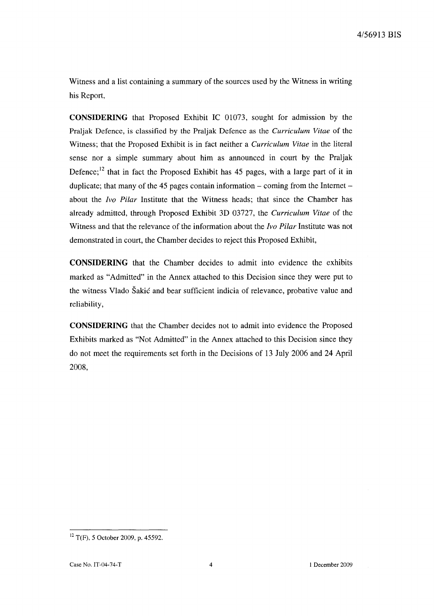Witness and a list containing a summary of the sources used by the Witness in writing his Report,

**CONSIDERING** that Proposed Exhibit IC 01073, sought for admission by the Praljak Defence, is classified by the Praljak Defence as the *Curriculum Vitae* of the Witness; that the Proposed Exhibit is in fact neither a *Curriculum Vitae* in the literal sense nor a simple summary about him as announced in court by the Praljak Defence; 12 that in fact the Proposed Exhibit has 45 pages, with a large part of it in duplicate; that many of the 45 pages contain information  $-$  coming from the Internet  $$ about the *Ivo Pilar* Institute that the Witness heads; that since the Chamber has already admitted, through Proposed Exhibit 3D 03727, the *Curriculum Vitae* of the Witness and that the relevance of the information about the *Ivo Pilar* Institute was not demonstrated in court, the Chamber decides to reject this Proposed Exhibit,

**CONSIDERING** that the Chamber decides to admit into evidence the exhibits marked as "Admitted" in the Annex attached to this Decision since they were put to the witness Vlado Sakic and bear sufficient indicia of relevance, probative value and reliability,

**CONSIDERING** that the Chamber decides not to admit into evidence the Proposed Exhibits marked as "Not Admitted" in the Annex attached to this Decision since they do not meet the requirements set forth in the Decisions of 13 July 2006 and 24 April 2008,

 $12$  T(F), 5 October 2009, p. 45592.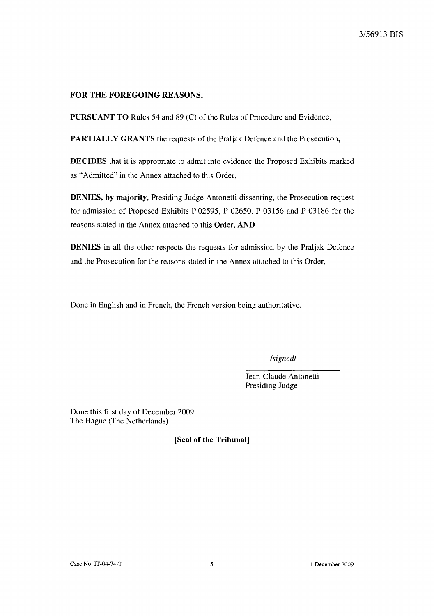# FOR THE FOREGOING REASONS,

PURSUANT TO Rules 54 and 89 (C) of the Rules of Procedure and Evidence,

PARTIALLY GRANTS the requests of the Praljak Defence and the Prosecution,

DECIDES that it is appropriate to admit into evidence the Proposed Exhibits marked as "Admitted" in the Annex attached to this Order,

DENIES, by majority, Presiding Judge Antonetti dissenting, the Prosecution request for admission of Proposed Exhibits P 02595, P 02650, P 03156 and P 03186 for the reasons stated in the Annex attached to this Order, AND

DENIES in all the other respects the requests for admission by the Praljak Defence and the Prosecution for the reasons stated in the Annex attached to this Order,

Done in English and in French, the French version being authoritative.

*/signed/* 

Jean-Claude Antonetti Presiding Judge

Done this first day of December 2009 The Hague (The Netherlands)

[Seal of the Tribunal]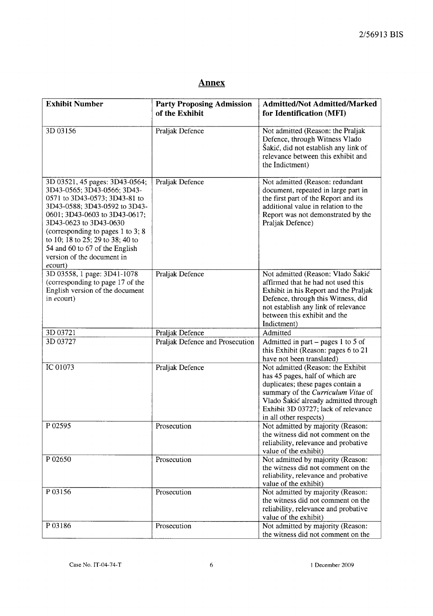# **Annex**

| <b>Exhibit Number</b>                                                                                                                                                                                                                                                                                                                           | <b>Party Proposing Admission</b><br>of the Exhibit | <b>Admitted/Not Admitted/Marked</b><br>for Identification (MFI)                                                                                                                                                                                          |
|-------------------------------------------------------------------------------------------------------------------------------------------------------------------------------------------------------------------------------------------------------------------------------------------------------------------------------------------------|----------------------------------------------------|----------------------------------------------------------------------------------------------------------------------------------------------------------------------------------------------------------------------------------------------------------|
| 3D 03156                                                                                                                                                                                                                                                                                                                                        | Praljak Defence                                    | Not admitted (Reason: the Praljak<br>Defence, through Witness Vlado<br>Šakić, did not establish any link of<br>relevance between this exhibit and<br>the Indictment)                                                                                     |
| 3D 03521, 45 pages: 3D43-0564;<br>3D43-0565; 3D43-0566; 3D43-<br>0571 to 3D43-0573; 3D43-81 to<br>3D43-0588; 3D43-0592 to 3D43-<br>0601; 3D43-0603 to 3D43-0617;<br>3D43-0623 to 3D43-0630<br>(corresponding to pages 1 to 3; 8)<br>to 10; 18 to 25; 29 to 38; 40 to<br>54 and 60 to 67 of the English<br>version of the document in<br>ecourt) | Praljak Defence                                    | Not admitted (Reason: redundant<br>document, repeated in large part in<br>the first part of the Report and its<br>additional value in relation to the<br>Report was not demonstrated by the<br>Praljak Defence)                                          |
| 3D 03558, 1 page: 3D41-1078<br>(corresponding to page 17 of the<br>English version of the document<br>in ecourt)                                                                                                                                                                                                                                | Praljak Defence                                    | Not admitted (Reason: Vlado Šakić<br>affirmed that he had not used this<br>Exhibit in his Report and the Praljak<br>Defence, through this Witness, did<br>not establish any link of relevance<br>between this exhibit and the<br>Indictment)             |
| 3D 03721                                                                                                                                                                                                                                                                                                                                        | Praljak Defence                                    | Admitted                                                                                                                                                                                                                                                 |
| 3D 03727                                                                                                                                                                                                                                                                                                                                        | Praljak Defence and Prosecution                    | Admitted in part $-$ pages 1 to 5 of<br>this Exhibit (Reason: pages 6 to 21<br>have not been translated)                                                                                                                                                 |
| IC 01073                                                                                                                                                                                                                                                                                                                                        | Praljak Defence                                    | Not admitted (Reason: the Exhibit<br>has 45 pages, half of which are<br>duplicates; these pages contain a<br>summary of the Curriculum Vitae of<br>Vlado Šakić already admitted through<br>Exhibit 3D 03727; lack of relevance<br>in all other respects) |
| P 02595                                                                                                                                                                                                                                                                                                                                         | Prosecution                                        | Not admitted by majority (Reason:<br>the witness did not comment on the<br>reliability, relevance and probative<br>value of the exhibit)                                                                                                                 |
| P 02650                                                                                                                                                                                                                                                                                                                                         | Prosecution                                        | Not admitted by majority (Reason:<br>the witness did not comment on the<br>reliability, relevance and probative<br>value of the exhibit)                                                                                                                 |
| P 03156                                                                                                                                                                                                                                                                                                                                         | Prosecution                                        | Not admitted by majority (Reason:<br>the witness did not comment on the<br>reliability, relevance and probative<br>value of the exhibit)                                                                                                                 |
| P03186                                                                                                                                                                                                                                                                                                                                          | Prosecution                                        | Not admitted by majority (Reason:<br>the witness did not comment on the                                                                                                                                                                                  |